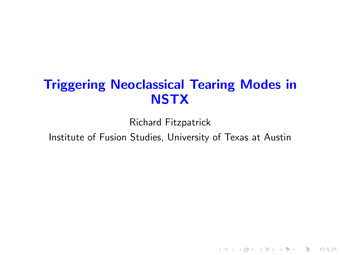# <span id="page-0-0"></span>Triggering Neoclassical Tearing Modes in **NSTX**

Richard Fitzpatrick Institute of Fusion Studies, University of Texas at Austin

K ロ ▶ K @ ▶ K 할 ▶ K 할 ▶ 이 할 → 9 Q Q →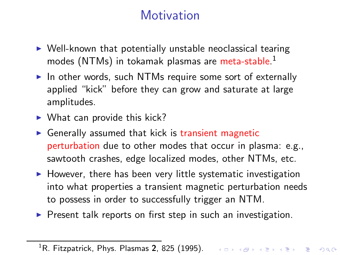# **Motivation**

- <span id="page-1-0"></span> $\triangleright$  Well-known that potentially unstable neoclassical tearing modes (NTMs) in tokamak plasmas are meta-stable. 1
- $\triangleright$  In other words, such NTMs require some sort of externally applied "kick" before they can grow and saturate at large amplitudes.
- $\blacktriangleright$  What can provide this kick?
- $\triangleright$  Generally assumed that kick is transient magnetic perturbation due to other modes that occur in plasma: e.g., sawtooth crashes, edge localized modes, other NTMs, etc.
- $\blacktriangleright$  However, there has been very little systematic investigation into what properties a transient magnetic perturbation needs to possess in order to successfully trigger an NTM.
- $\triangleright$  Present talk reports on first step in such an investigation.

 $^1$ R. Fitzpatrick, Phys. Plasmas 2, 825 (1995). The series of the series of the series of  $\infty$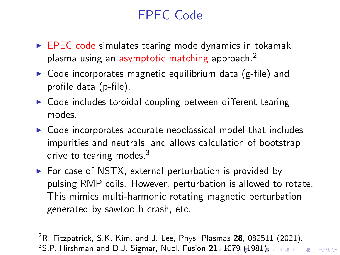# EPEC Code

- <span id="page-2-0"></span> $\triangleright$  EPEC code simulates tearing mode dynamics in tokamak plasma using an asymptotic matching approach.<sup>2</sup>
- $\triangleright$  Code incorporates magnetic equilibrium data (g-file) and profile data (p-file).
- $\triangleright$  Code includes toroidal coupling between different tearing modes.
- $\triangleright$  Code incorporates accurate neoclassical model that includes impurities and neutrals, and allows calculation of bootstrap drive to tearing modes. $3$
- $\triangleright$  For case of NSTX, external perturbation is provided by pulsing RMP coils. However, perturbation is allowed to rotate. This mimics multi-harmonic rotating magnetic perturbation generated by sawtooth crash, etc.

 $2R$ . Fitzpatrick, S.K. Kim, and J. Lee, Phys. Plasmas 28, 082511 (2021). <sup>3</sup>S.P. Hirshman and D.J. Sigmar, Nucl. Fusion 21[, 1](#page-1-0)[07](#page-3-0)[9](#page-3-0) [\(1](#page-2-0)9[81\)](#page-0-0)[.](#page-27-0)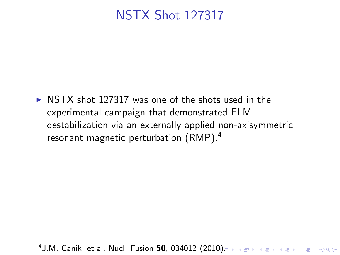### <span id="page-3-0"></span>NSTX Shot 127317

 $\triangleright$  NSTX shot 127317 was one of the shots used in the experimental campaign that demonstrated ELM destabilization via an externally applied non-axisymmetric resonant magnetic perturbation (RMP).<sup>4</sup>

 $4$  J.M. Canik, et al. Nucl. Fusion  $50$ , 034012  $(2010)$ .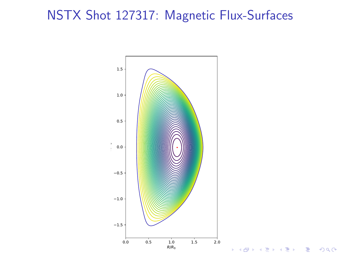# NSTX Shot 127317: Magnetic Flux-Surfaces



重

 $290$ 

É

∍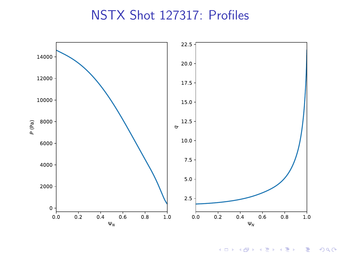#### NSTX Shot 127317: Profiles



メロトメ 御 トメ ミトメ ミト 高。  $299$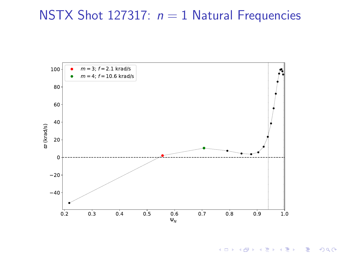### NSTX Shot 127317:  $n = 1$  Natural Frequencies



メロトメ 御 トメ きょくきょう きっ  $299$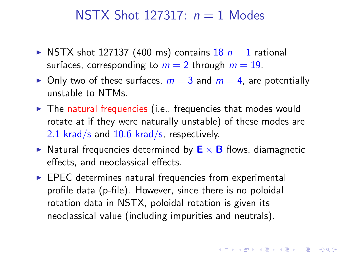#### NSTX Shot 127317:  $n = 1$  Modes

- NSTX shot 127137 (400 ms) contains  $18$   $n = 1$  rational surfaces, corresponding to  $m = 2$  through  $m = 19$ .
- $\triangleright$  Only two of these surfaces,  $m = 3$  and  $m = 4$ , are potentially unstable to NTMs.
- $\triangleright$  The natural frequencies (i.e., frequencies that modes would rotate at if they were naturally unstable) of these modes are 2.1 krad/s and 10.6 krad/s, respectively.
- ightharpoonup Natural frequencies determined by  $E \times B$  flows, diamagnetic effects, and neoclassical effects.

**K ロ ▶ K @ ▶ K 할 X K 할 X - 할 X - 9 Q Q ^** 

 $\triangleright$  EPEC determines natural frequencies from experimental profile data (p-file). However, since there is no poloidal rotation data in NSTX, poloidal rotation is given its neoclassical value (including impurities and neutrals).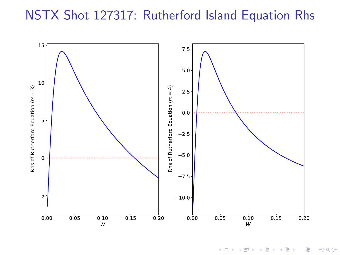#### NSTX Shot 127317: Rutherford Island Equation Rhs



K ロ ▶ K @ ▶ K 할 ▶ K 할 ▶ 《 할 ▶  $299$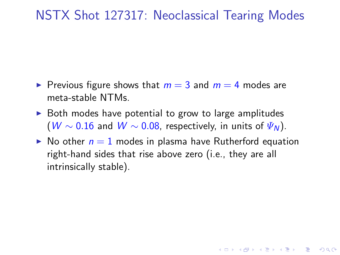#### NSTX Shot 127317: Neoclassical Tearing Modes

- ► Previous figure shows that  $m = 3$  and  $m = 4$  modes are meta-stable NTMs.
- $\triangleright$  Both modes have potential to grow to large amplitudes (W ~ 0.16 and W ~ 0.08, respectively, in units of  $\Psi_N$ ).
- $\triangleright$  No other  $n = 1$  modes in plasma have Rutherford equation right-hand sides that rise above zero (i.e., they are all intrinsically stable).

**ADD YEARS ARA YOUR**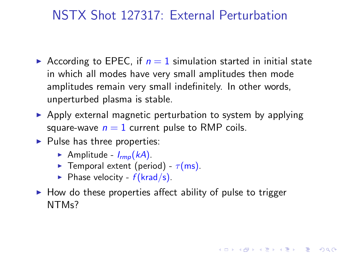### NSTX Shot 127317: External Perturbation

- According to EPEC, if  $n = 1$  simulation started in initial state in which all modes have very small amplitudes then mode amplitudes remain very small indefinitely. In other words, unperturbed plasma is stable.
- $\triangleright$  Apply external magnetic perturbation to system by applying square-wave  $n = 1$  current pulse to RMP coils.
- $\blacktriangleright$  Pulse has three properties:
	- Amplitude  $I_{\text{rmo}}(kA)$ .
	- **Example Temporal extent (period)**  $\tau$ (ms).
	- $\blacktriangleright$  Phase velocity  $f(krad/s)$ .
- $\triangleright$  How do these properties affect ability of pulse to trigger NTMs?

4 L D + 4 P + 4 P + 4 P + B + 9 Q O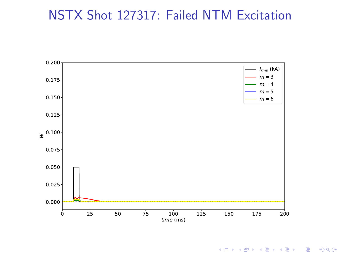### NSTX Shot 127317: Failed NTM Excitation



K ロ ▶ K @ ▶ K 할 ▶ K 할 ▶ 이 할 → 9 Q Q →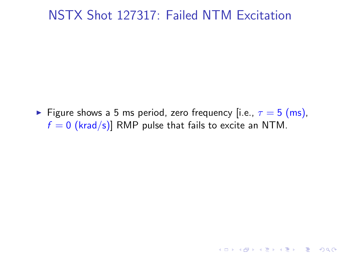#### NSTX Shot 127317: Failed NTM Excitation

Figure shows a 5 ms period, zero frequency [i.e.,  $\tau = 5$  (ms),  $f = 0$  (krad/s)] RMP pulse that fails to excite an NTM.

K ロ ▶ K @ ▶ K 할 > K 할 > 1 할 > 1 이익어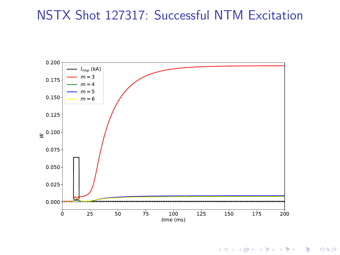### NSTX Shot 127317: Successful NTM Excitation



K ロ ▶ K @ ▶ K 할 ▶ K 할 ▶ 이 할 → 9 Q Q →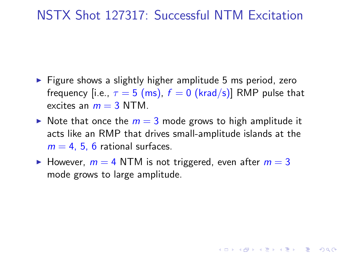#### NSTX Shot 127317: Successful NTM Excitation

- $\triangleright$  Figure shows a slightly higher amplitude 5 ms period, zero frequency [i.e.,  $\tau = 5$  (ms),  $f = 0$  (krad/s)] RMP pulse that excites an  $m = 3$  NTM.
- $\triangleright$  Note that once the  $m = 3$  mode grows to high amplitude it acts like an RMP that drives small-amplitude islands at the  $m = 4, 5, 6$  rational surfaces.
- $\blacktriangleright$  However,  $m = 4$  NTM is not triggered, even after  $m = 3$ mode grows to large amplitude.

**ADD YEARS ARA YOUR**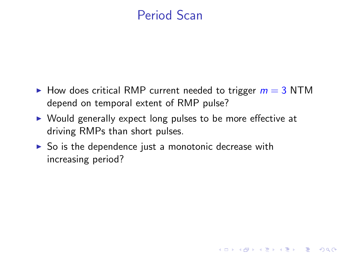### Period Scan

 $\triangleright$  How does critical RMP current needed to trigger  $m = 3$  NTM depend on temporal extent of RMP pulse?

**KORK EXTERNE PROVIDE** 

- ► Would generally expect long pulses to be more effective at driving RMPs than short pulses.
- $\triangleright$  So is the dependence just a monotonic decrease with increasing period?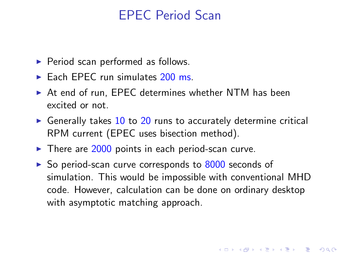### EPEC Period Scan

- ▶ Period scan performed as follows.
- $\blacktriangleright$  Each EPEC run simulates  $200 \text{ ms}$ .
- ► At end of run, EPEC determines whether NTM has been excited or not.
- $\triangleright$  Generally takes 10 to 20 runs to accurately determine critical RPM current (EPEC uses bisection method).
- $\blacktriangleright$  There are 2000 points in each period-scan curve.
- ▶ So period-scan curve corresponds to 8000 seconds of simulation. This would be impossible with conventional MHD code. However, calculation can be done on ordinary desktop with asymptotic matching approach.

**ADD YEARS ARA YOUR**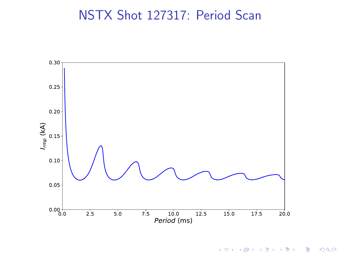### NSTX Shot 127317: Period Scan



イロメ イ部メ イ君メ イ君メ 重  $299$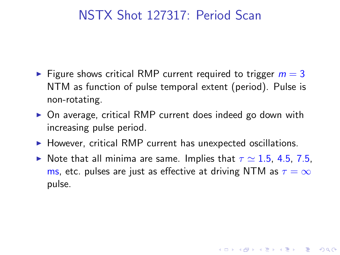#### NSTX Shot 127317: Period Scan

- $\triangleright$  Figure shows critical RMP current required to trigger  $m = 3$ NTM as function of pulse temporal extent (period). Pulse is non-rotating.
- ▶ On average, critical RMP current does indeed go down with increasing pulse period.
- ▶ However, critical RMP current has unexpected oscillations.
- Note that all minima are same. Implies that  $\tau \simeq 1.5$ , 4.5, 7.5, ms, etc. pulses are just as effective at driving NTM as  $\tau = \infty$ pulse.

**ADD YEARS ARA YOUR**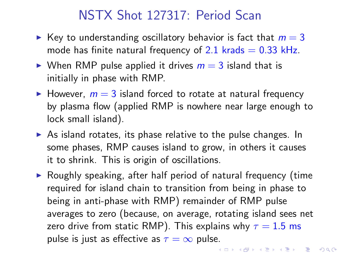### NSTX Shot 127317: Period Scan

- External Key to understanding oscillatory behavior is fact that  $m = 3$ mode has finite natural frequency of 2.1 krads  $= 0.33$  kHz.
- $\triangleright$  When RMP pulse applied it drives  $m = 3$  island that is initially in phase with RMP.
- $\blacktriangleright$  However,  $m = 3$  island forced to rotate at natural frequency by plasma flow (applied RMP is nowhere near large enough to lock small island).
- $\triangleright$  As island rotates, its phase relative to the pulse changes. In some phases, RMP causes island to grow, in others it causes it to shrink. This is origin of oscillations.
- $\triangleright$  Roughly speaking, after half period of natural frequency (time required for island chain to transition from being in phase to being in anti-phase with RMP) remainder of RMP pulse averages to zero (because, on average, rotating island sees net zero drive from static RMP). This explains why  $\tau = 1.5$  ms pulse is just as effective as  $\tau = \infty$  pulse.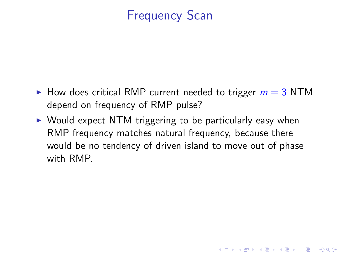# Frequency Scan

- $\blacktriangleright$  How does critical RMP current needed to trigger  $m = 3$  NTM depend on frequency of RMP pulse?
- ► Would expect NTM triggering to be particularly easy when RMP frequency matches natural frequency, because there would be no tendency of driven island to move out of phase with RMP.

**KORK EXTERNE PROVIDE**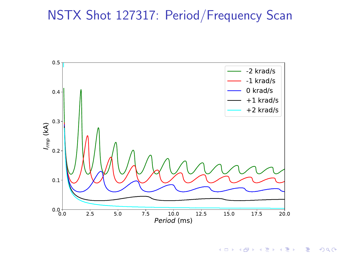

イロメ イ部メ イ君メ イ君メ  $299$ 目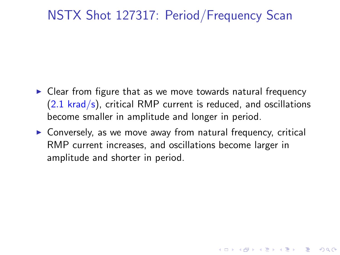- ► Clear from figure that as we move towards natural frequency  $(2.1 \text{ krad/s})$ , critical RMP current is reduced, and oscillations become smaller in amplitude and longer in period.
- ▶ Conversely, as we move away from natural frequency, critical RMP current increases, and oscillations become larger in amplitude and shorter in period.

4 L D + 4 P + 4 P + 4 P + B + 9 Q O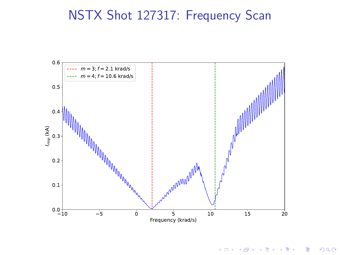

メロト メ都 トメ 重 トメ 差 ト  $299$ 目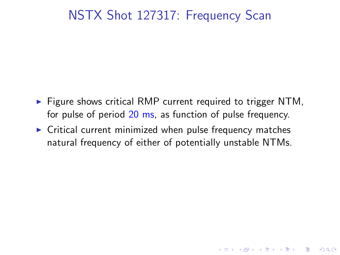$\triangleright$  Figure shows critical RMP current required to trigger NTM, for pulse of period 20 ms, as function of pulse frequency.

**KORK EXTERNE PROVIDE** 

 $\triangleright$  Critical current minimized when pulse frequency matches natural frequency of either of potentially unstable NTMs.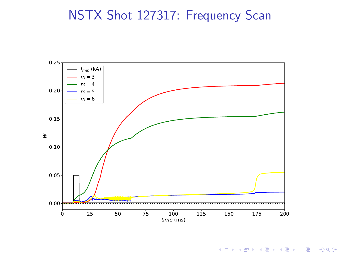

K ロ K イロ K モ X モ X モ X モ コ の Q Q C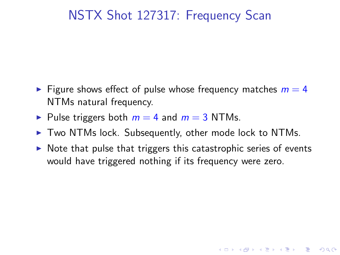- $\triangleright$  Figure shows effect of pulse whose frequency matches  $m = 4$ NTMs natural frequency.
- $\triangleright$  Pulse triggers both  $m = 4$  and  $m = 3$  NTMs.
- ▶ Two NTMs lock. Subsequently, other mode lock to NTMs.
- $\triangleright$  Note that pulse that triggers this catastrophic series of events would have triggered nothing if its frequency were zero.

**KORK EXTERNE PROVIDE**